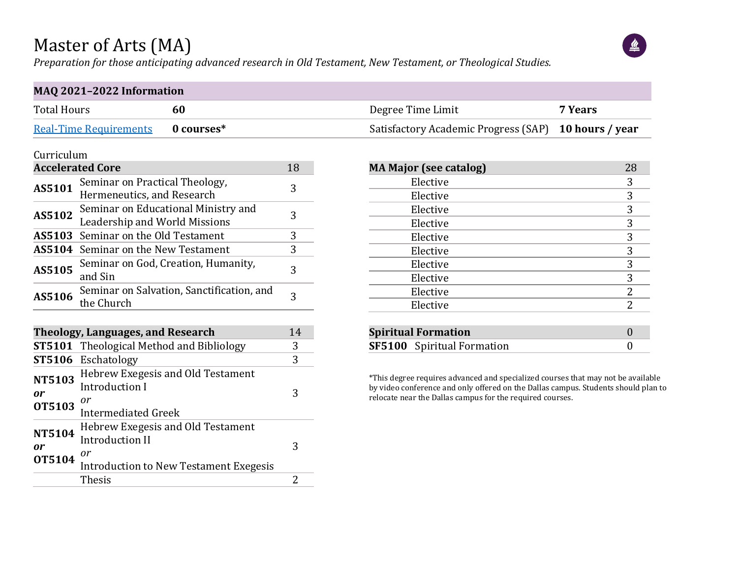### Master of Arts (MA)

*Preparation for those anticipating advanced research in Old Testament, New Testament, or Theological Studies.*



### **MAQ 2021–2022 Information**

| <b>Total Hours</b>                | Degree Time Limit                                    | 7 Years |
|-----------------------------------|------------------------------------------------------|---------|
| Real-Time Requirements 0 courses* | Satisfactory Academic Progress (SAP) 10 hours / year |         |

#### Curriculum

|        | <b>Accelerated Core</b>                                              | 18 |
|--------|----------------------------------------------------------------------|----|
| AS5101 | Seminar on Practical Theology,<br>Hermeneutics, and Research         | 3  |
| AS5102 | Seminar on Educational Ministry and<br>Leadership and World Missions | 3  |
|        | <b>AS5103</b> Seminar on the Old Testament                           | 3  |
|        | AS5104 Seminar on the New Testament                                  | 3  |
| AS5105 | Seminar on God, Creation, Humanity,<br>and Sin                       | 3  |
| AS5106 | Seminar on Salvation, Sanctification, and<br>the Church              | 3  |

|                                      | Theology, Languages, and Research                                                                                  | 14 |
|--------------------------------------|--------------------------------------------------------------------------------------------------------------------|----|
|                                      | <b>ST5101</b> Theological Method and Bibliology                                                                    | 3  |
|                                      | ST5106 Eschatology                                                                                                 | 3  |
| <b>NT5103</b><br>0r<br><b>OT5103</b> | Hebrew Exegesis and Old Testament<br><b>Introduction I</b><br>or<br><b>Intermediated Greek</b>                     | 3  |
| <b>NT5104</b><br>0r<br><b>OT5104</b> | Hebrew Exegesis and Old Testament<br><b>Introduction II</b><br>0r<br><b>Introduction to New Testament Exegesis</b> | 3  |
|                                      | <b>Thesis</b>                                                                                                      |    |

| <b>MA Major (see catalog)</b> | 28 |
|-------------------------------|----|
| Elective                      | 3  |
| Elective                      | 3  |
| Elective                      | 3  |
| Elective                      | 3  |
| Elective                      | 3  |
| Elective                      | 3  |
| Elective                      | 3  |
| Elective                      | 3  |
| Elective                      | 2  |
| Elective                      | 2  |
|                               |    |
| <b>Spiritual Formation</b>    |    |

\*This degree requires advanced and specialized courses that may not be available by video conference and only offered on the Dallas campus. Students should plan to relocate near the Dallas campus for the required courses.

**SF5100** Spiritual Formation 0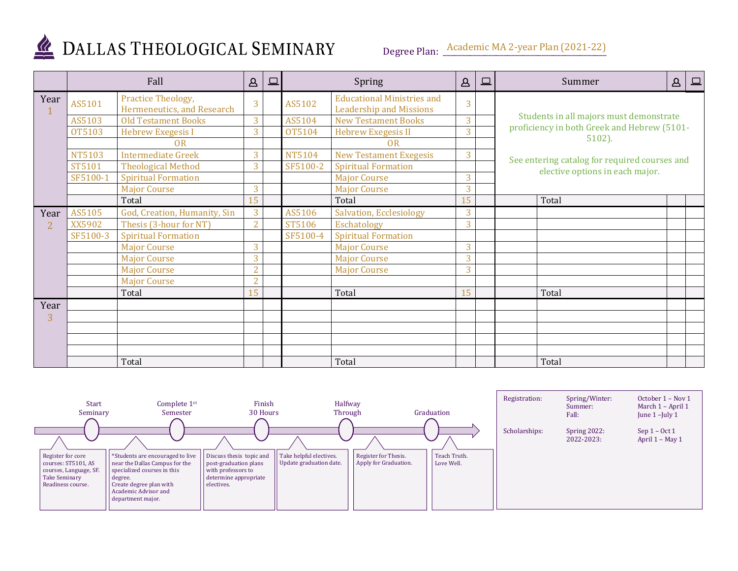

# DALLAS THEOLOGICAL SEMINARY

Degree Plan: <u>Academic MA 2-year Plan (2021-22)</u>

|      | Fall          |                                                  | $\Delta$       | ⊑ |               | Spring                                                              | $\Delta$ | $\square$ | $\Delta$<br>$\boxed{\square}$<br>Summer                  |
|------|---------------|--------------------------------------------------|----------------|---|---------------|---------------------------------------------------------------------|----------|-----------|----------------------------------------------------------|
| Year | AS5101        | Practice Theology,<br>Hermeneutics, and Research | 3              |   | AS5102        | <b>Educational Ministries and</b><br><b>Leadership and Missions</b> | 3        |           |                                                          |
|      | AS5103        | <b>Old Testament Books</b>                       | 3              |   | AS5104        | <b>New Testament Books</b>                                          | 3        |           | Students in all majors must demonstrate                  |
|      | <b>OT5103</b> | <b>Hebrew Exegesis I</b>                         | 3              |   | <b>OT5104</b> | <b>Hebrew Exegesis II</b>                                           | 3        |           | proficiency in both Greek and Hebrew (5101-<br>$5102$ ). |
|      |               | 0 <sub>R</sub>                                   |                |   |               | OR                                                                  |          |           |                                                          |
|      | <b>NT5103</b> | <b>Intermediate Greek</b>                        | 3              |   | NT5104        | <b>New Testament Exegesis</b>                                       | 3        |           | See entering catalog for required courses and            |
|      | ST5101        | <b>Theological Method</b>                        | 3              |   | SF5100-2      | <b>Spiritual Formation</b>                                          |          |           | elective options in each major.                          |
|      | SF5100-1      | <b>Spiritual Formation</b>                       |                |   |               | <b>Major Course</b>                                                 | 3        |           |                                                          |
|      |               | <b>Major Course</b>                              | 3              |   |               | <b>Major Course</b>                                                 | 3        |           |                                                          |
|      |               | Total                                            | 15             |   |               | Total                                                               | 15       |           | Total                                                    |
| Year | AS5105        | God, Creation, Humanity, Sin                     | 3              |   | AS5106        | <b>Salvation, Ecclesiology</b>                                      | 3        |           |                                                          |
|      | XX5902        | Thesis (3-hour for NT)                           | $\overline{2}$ |   | ST5106        | Eschatology                                                         | 3        |           |                                                          |
|      | SF5100-3      | <b>Spiritual Formation</b>                       |                |   | SF5100-4      | <b>Spiritual Formation</b>                                          |          |           |                                                          |
|      |               | <b>Major Course</b>                              | 3              |   |               | <b>Major Course</b>                                                 | 3        |           |                                                          |
|      |               | <b>Major Course</b>                              | 3              |   |               | <b>Major Course</b>                                                 | 3        |           |                                                          |
|      |               | <b>Major Course</b>                              | $\overline{2}$ |   |               | <b>Major Course</b>                                                 | 3        |           |                                                          |
|      |               | <b>Major Course</b>                              | $\mathcal{D}$  |   |               |                                                                     |          |           |                                                          |
|      |               | Total                                            | 15             |   |               | Total                                                               | 15       |           | Total                                                    |
| Year |               |                                                  |                |   |               |                                                                     |          |           |                                                          |
| 3    |               |                                                  |                |   |               |                                                                     |          |           |                                                          |
|      |               |                                                  |                |   |               |                                                                     |          |           |                                                          |
|      |               |                                                  |                |   |               |                                                                     |          |           |                                                          |
|      |               |                                                  |                |   |               |                                                                     |          |           |                                                          |
|      |               | Total                                            |                |   |               | Total                                                               |          |           | Total                                                    |

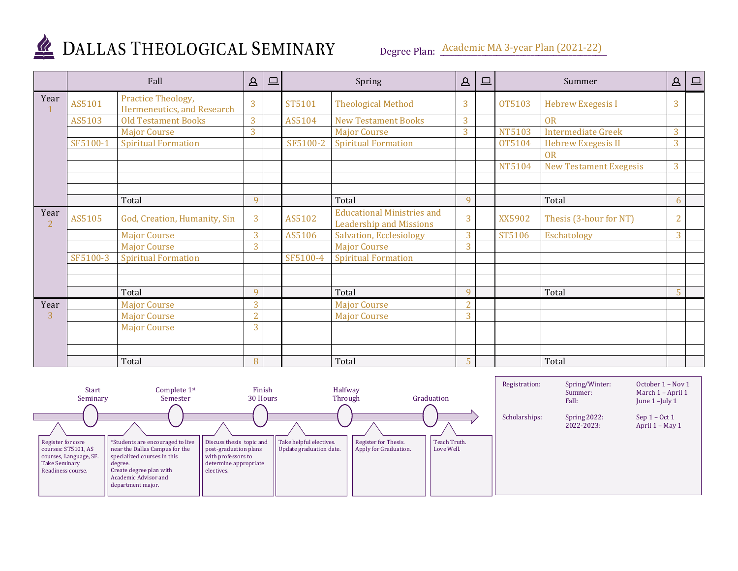

## DALLAS THEOLOGICAL SEMINARY

Degree Plan: <u>Academic MA 3-year Plan (2021-22)</u>

|                        | Fall     |                                                  | Δ<br>Spring<br>$\square$ |  | $\Delta$ | $\boxed{\square}$                                                   | Summer         |  | $\mathsf B$   | $\Box$                        |                |  |
|------------------------|----------|--------------------------------------------------|--------------------------|--|----------|---------------------------------------------------------------------|----------------|--|---------------|-------------------------------|----------------|--|
| Year                   | AS5101   | Practice Theology,<br>Hermeneutics, and Research | 3                        |  | ST5101   | <b>Theological Method</b>                                           | 3              |  | OT5103        | <b>Hebrew Exegesis I</b>      | 3              |  |
|                        | AS5103   | <b>Old Testament Books</b>                       | 3                        |  | AS5104   | <b>New Testament Books</b>                                          | 3              |  |               | <b>OR</b>                     |                |  |
|                        |          | <b>Major Course</b>                              | 3                        |  |          | <b>Major Course</b>                                                 | $\overline{3}$ |  | <b>NT5103</b> | <b>Intermediate Greek</b>     | 3              |  |
|                        | SF5100-1 | <b>Spiritual Formation</b>                       |                          |  | SF5100-2 | <b>Spiritual Formation</b>                                          |                |  | <b>OT5104</b> | <b>Hebrew Exegesis II</b>     | 3              |  |
|                        |          |                                                  |                          |  |          |                                                                     |                |  |               | <b>OR</b>                     |                |  |
|                        |          |                                                  |                          |  |          |                                                                     |                |  | NT5104        | <b>New Testament Exegesis</b> | 3              |  |
|                        |          |                                                  |                          |  |          |                                                                     |                |  |               |                               |                |  |
|                        |          |                                                  |                          |  |          |                                                                     |                |  |               |                               |                |  |
|                        |          | Total                                            | 9                        |  |          | Total                                                               | 9              |  |               | Total                         | 6              |  |
| Year<br>$\overline{2}$ | AS5105   | God, Creation, Humanity, Sin                     | 3                        |  | AS5102   | <b>Educational Ministries and</b><br><b>Leadership and Missions</b> | 3              |  | XX5902        | Thesis (3-hour for NT)        | $\overline{2}$ |  |
|                        |          | <b>Major Course</b>                              | 3                        |  | AS5106   | <b>Salvation, Ecclesiology</b>                                      | 3              |  | ST5106        | Eschatology                   | 3              |  |
|                        |          | <b>Major Course</b>                              | 3                        |  |          | <b>Major Course</b>                                                 | 3              |  |               |                               |                |  |
|                        | SF5100-3 | <b>Spiritual Formation</b>                       |                          |  | SF5100-4 | <b>Spiritual Formation</b>                                          |                |  |               |                               |                |  |
|                        |          |                                                  |                          |  |          |                                                                     |                |  |               |                               |                |  |
|                        |          |                                                  |                          |  |          |                                                                     |                |  |               |                               |                |  |
|                        |          | Total                                            | 9                        |  |          | Total                                                               | 9              |  |               | Total                         | 5              |  |
| Year                   |          | <b>Major Course</b>                              | 3                        |  |          | <b>Major Course</b>                                                 | $\overline{2}$ |  |               |                               |                |  |
| 3                      |          | <b>Major Course</b>                              | $\overline{2}$           |  |          | <b>Major Course</b>                                                 | 3              |  |               |                               |                |  |
|                        |          | <b>Major Course</b>                              | 3                        |  |          |                                                                     |                |  |               |                               |                |  |
|                        |          |                                                  |                          |  |          |                                                                     |                |  |               |                               |                |  |
|                        |          |                                                  |                          |  |          |                                                                     |                |  |               |                               |                |  |
|                        |          | Total                                            | 8                        |  |          | Total                                                               | 5              |  |               | Total                         |                |  |